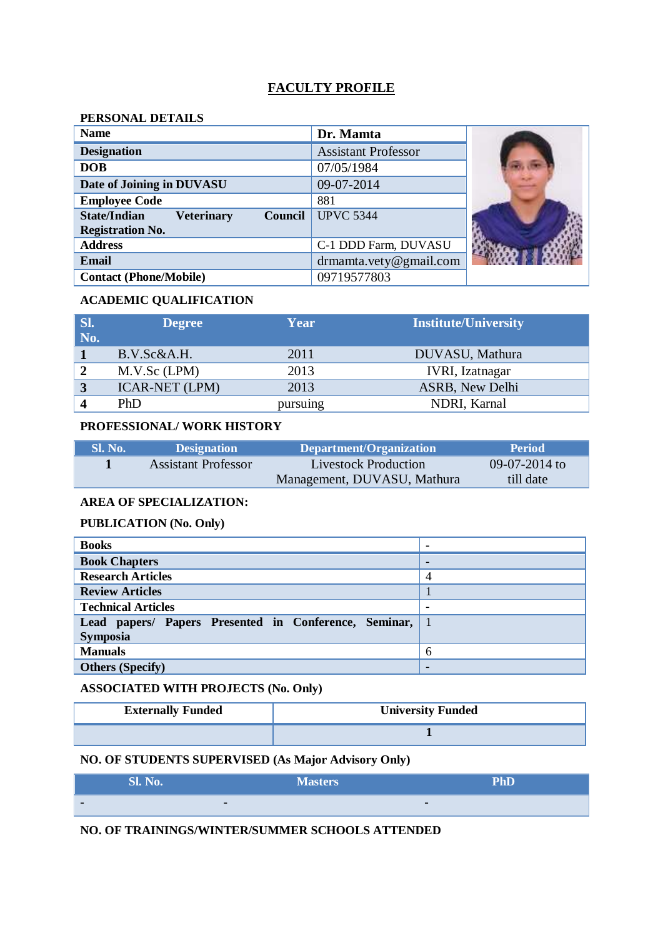# **FACULTY PROFILE**

## **PERSONAL DETAILS**

| <b>Name</b>                                                                           | Dr. Mamta                  |  |
|---------------------------------------------------------------------------------------|----------------------------|--|
| <b>Designation</b>                                                                    | <b>Assistant Professor</b> |  |
| <b>DOB</b>                                                                            | 07/05/1984                 |  |
| Date of Joining in DUVASU                                                             | 09-07-2014                 |  |
| <b>Employee Code</b>                                                                  | 881                        |  |
| <b>State/Indian</b><br><b>Council</b><br><b>Veterinary</b><br><b>Registration No.</b> | <b>UPVC 5344</b>           |  |
| <b>Address</b>                                                                        | C-1 DDD Farm, DUVASU       |  |
| <b>Email</b>                                                                          | $d$ rmamta.vety@gmail.com  |  |
| <b>Contact (Phone/Mobile)</b>                                                         | 09719577803                |  |

## **ACADEMIC QUALIFICATION**

| SI.<br>No. | <b>Degree</b>         | Year     | <b>Institute/University</b> |
|------------|-----------------------|----------|-----------------------------|
|            | B.V.Sc&A.H.           | 2011     | DUVASU, Mathura             |
| 2          | M.V.Sc (LPM)          | 2013     | <b>IVRI, Izatnagar</b>      |
| 3          | <b>ICAR-NET (LPM)</b> | 2013     | <b>ASRB, New Delhi</b>      |
|            | PhD                   | pursuing | NDRI, Karnal                |

## **PROFESSIONAL/ WORK HISTORY**

| . Sl. No. ' | <b>Designation</b>  | Department/Organization     | <b>Period</b> |
|-------------|---------------------|-----------------------------|---------------|
|             | Assistant Professor | <b>Livestock Production</b> | 09-07-2014 to |
|             |                     | Management, DUVASU, Mathura | till date     |

## **AREA OF SPECIALIZATION:**

## **PUBLICATION (No. Only)**

| <b>Books</b>                                                               | ٠                        |
|----------------------------------------------------------------------------|--------------------------|
| <b>Book Chapters</b>                                                       | $\overline{\phantom{a}}$ |
| <b>Research Articles</b>                                                   | 4                        |
| <b>Review Articles</b>                                                     |                          |
| <b>Technical Articles</b>                                                  |                          |
| Lead papers/ Papers Presented in Conference, Seminar, 1<br><b>Symposia</b> |                          |
| <b>Manuals</b>                                                             | 6                        |
| <b>Others (Specify)</b>                                                    | -                        |

## **ASSOCIATED WITH PROJECTS (No. Only)**

| <b>Externally Funded</b> | <b>University Funded</b> |
|--------------------------|--------------------------|
|                          |                          |

#### **NO. OF STUDENTS SUPERVISED (As Major Advisory Only)**

|               | Sl. No. | <b>Masters</b> | <b>PhD</b> |
|---------------|---------|----------------|------------|
| <b>A 1999</b> |         |                |            |

## **NO. OF TRAININGS/WINTER/SUMMER SCHOOLS ATTENDED**